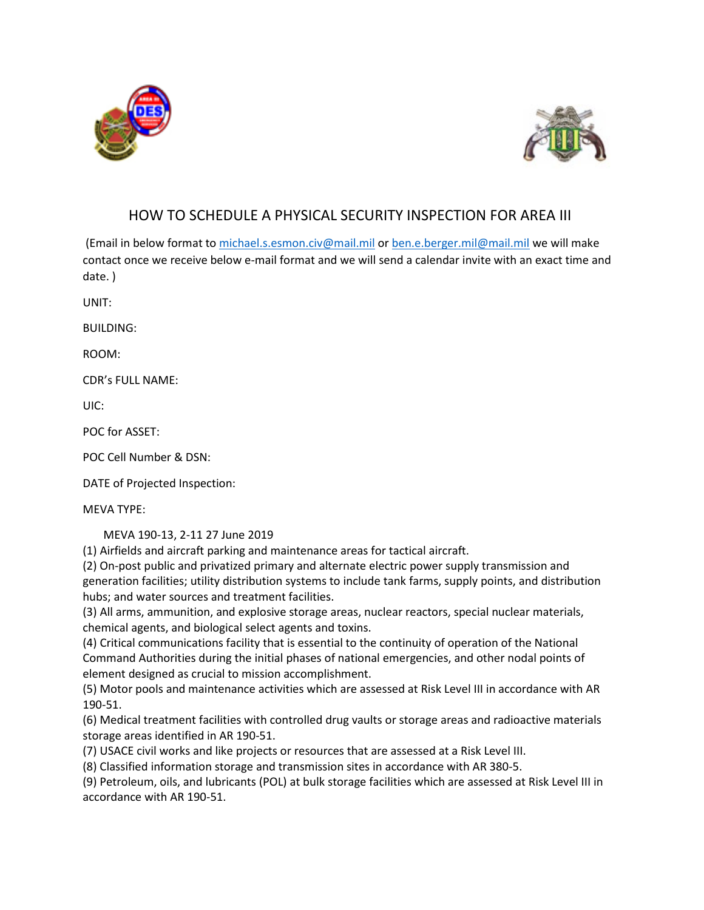



## HOW TO SCHEDULE A PHYSICAL SECURITY INSPECTION FOR AREA III

(Email in below format t[o michael.s.esmon.civ@mail.mil](mailto:michael.s.esmon.civ@mail.mil) or [ben.e.berger.mil@mail.mil](mailto:ben.e.berger.mil@mail.mil) we will make contact once we receive below e-mail format and we will send a calendar invite with an exact time and date. )

UNIT:

BUILDING:

ROOM:

CDR's FULL NAME:

UIC:

POC for ASSET:

POC Cell Number & DSN:

DATE of Projected Inspection:

MEVA TYPE:

MEVA 190-13, 2-11 27 June 2019

(1) Airfields and aircraft parking and maintenance areas for tactical aircraft.

(2) On-post public and privatized primary and alternate electric power supply transmission and generation facilities; utility distribution systems to include tank farms, supply points, and distribution hubs; and water sources and treatment facilities.

(3) All arms, ammunition, and explosive storage areas, nuclear reactors, special nuclear materials, chemical agents, and biological select agents and toxins.

(4) Critical communications facility that is essential to the continuity of operation of the National Command Authorities during the initial phases of national emergencies, and other nodal points of element designed as crucial to mission accomplishment.

(5) Motor pools and maintenance activities which are assessed at Risk Level III in accordance with AR 190-51.

(6) Medical treatment facilities with controlled drug vaults or storage areas and radioactive materials storage areas identified in AR 190-51.

(7) USACE civil works and like projects or resources that are assessed at a Risk Level III.

(8) Classified information storage and transmission sites in accordance with AR 380-5.

(9) Petroleum, oils, and lubricants (POL) at bulk storage facilities which are assessed at Risk Level III in accordance with AR 190-51.